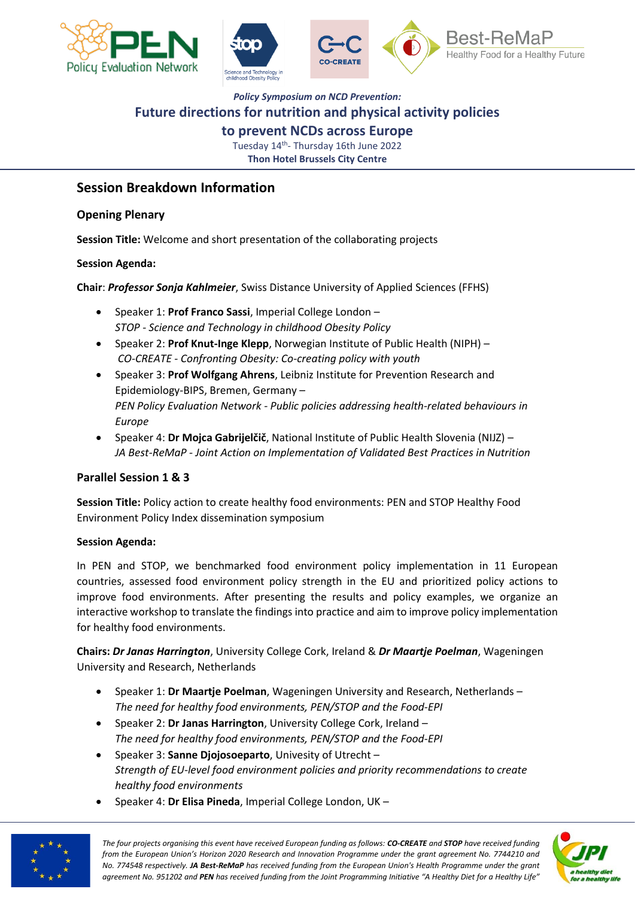





### **to prevent NCDs across Europe**

Tuesday 14<sup>th</sup>- Thursday 16th June 2022 **Thon Hotel Brussels City Centre**

### **Session Breakdown Information**

#### **Opening Plenary**

**Session Title:** Welcome and short presentation of the collaborating projects

#### **Session Agenda:**

**Chair**: *Professor Sonja Kahlmeier*, Swiss Distance University of Applied Sciences (FFHS)

- Speaker 1: **Prof Franco Sassi**, Imperial College London *STOP - Science and Technology in childhood Obesity Policy*
- Speaker 2: **Prof Knut-Inge Klepp**, Norwegian Institute of Public Health (NIPH) *CO-CREATE - Confronting Obesity: Co-creating policy with youth*
- Speaker 3: **Prof Wolfgang Ahrens**, Leibniz Institute for Prevention Research and Epidemiology-BIPS, Bremen, Germany – *PEN Policy Evaluation Network - Public policies addressing health-related behaviours in Europe*
- Speaker 4: **Dr Mojca Gabrijelčič**, National Institute of Public Health Slovenia (NIJZ) *JA Best-ReMaP - Joint Action on Implementation of Validated Best Practices in Nutrition*

### **Parallel Session 1 & 3**

**Session Title:** Policy action to create healthy food environments: PEN and STOP Healthy Food Environment Policy Index dissemination symposium

#### **Session Agenda:**

In PEN and STOP, we benchmarked food environment policy implementation in 11 European countries, assessed food environment policy strength in the EU and prioritized policy actions to improve food environments. After presenting the results and policy examples, we organize an interactive workshop to translate the findings into practice and aim to improve policy implementation for healthy food environments.

**Chairs:** *Dr Janas Harrington*, University College Cork, Ireland & *Dr Maartje Poelman*, Wageningen University and Research, Netherlands

- Speaker 1: **Dr Maartje Poelman**, Wageningen University and Research, Netherlands *The need for healthy food environments, PEN/STOP and the Food-EPI*
- Speaker 2: **Dr Janas Harrington**, University College Cork, Ireland *The need for healthy food environments, PEN/STOP and the Food-EPI*
- Speaker 3: **Sanne Djojosoeparto**, Univesity of Utrecht *Strength of EU-level food environment policies and priority recommendations to create healthy food environments*
- Speaker 4: **Dr Elisa Pineda**, Imperial College London, UK –



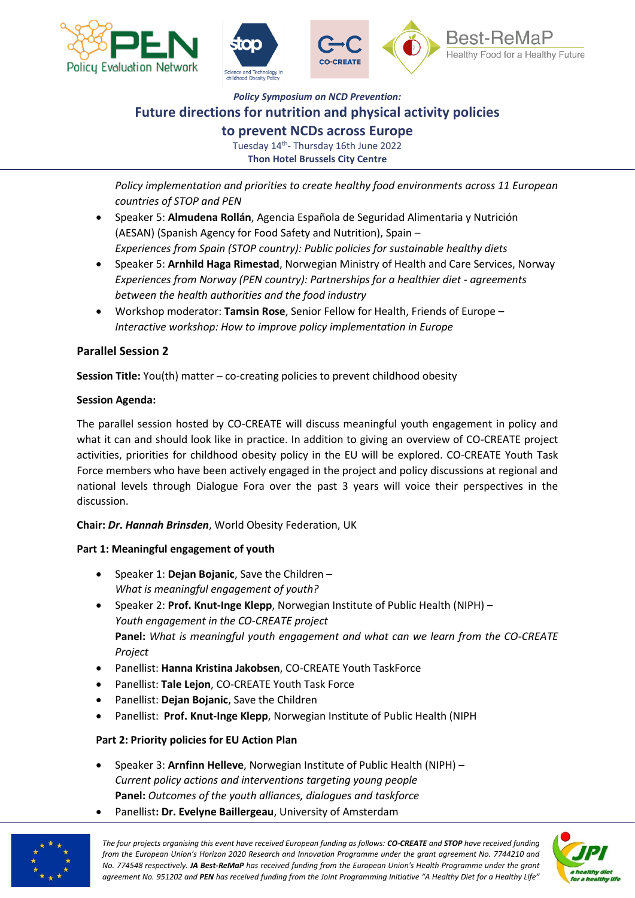



**to prevent NCDs across Europe**

Tuesday 14<sup>th</sup>- Thursday 16th June 2022 **Thon Hotel Brussels City Centre**

*Policy implementation and priorities to create healthy food environments across 11 European countries of STOP and PEN*

- Speaker 5: **Almudena Rollán**, Agencia Española de Seguridad Alimentaria y Nutrición (AESAN) (Spanish Agency for Food Safety and Nutrition), Spain – *Experiences from Spain (STOP country): Public policies for sustainable healthy diets*
- Speaker 5: **Arnhild Haga Rimestad**, Norwegian Ministry of Health and Care Services, Norway *Experiences from Norway (PEN country): Partnerships for a healthier diet - agreements between the health authorities and the food industry*
- Workshop moderator: **Tamsin Rose**, Senior Fellow for Health, Friends of Europe *Interactive workshop: How to improve policy implementation in Europe*

#### **Parallel Session 2**

**Session Title:** You(th) matter – co-creating policies to prevent childhood obesity

#### **Session Agenda:**

The parallel session hosted by CO-CREATE will discuss meaningful youth engagement in policy and what it can and should look like in practice. In addition to giving an overview of CO-CREATE project activities, priorities for childhood obesity policy in the EU will be explored. CO-CREATE Youth Task Force members who have been actively engaged in the project and policy discussions at regional and national levels through Dialogue Fora over the past 3 years will voice their perspectives in the discussion.

#### **Chair:** *Dr***.** *Hannah Brinsden*, World Obesity Federation, UK

#### **Part 1: Meaningful engagement of youth**

- Speaker 1: **Dejan Bojanic**, Save the Children *What is meaningful engagement of youth?*
- Speaker 2: **Prof. Knut-Inge Klepp**, Norwegian Institute of Public Health (NIPH) *Youth engagement in the CO-CREATE project* **Panel:** *What is meaningful youth engagement and what can we learn from the CO-CREATE Project*
- Panellist: **Hanna Kristina Jakobsen**, CO-CREATE Youth TaskForce
- Panellist: **Tale Lejon**, CO-CREATE Youth Task Force
- Panellist: **Dejan Bojanic**, Save the Children
- Panellist: **Prof. Knut-Inge Klepp**, Norwegian Institute of Public Health (NIPH

#### **Part 2: Priority policies for EU Action Plan**

- Speaker 3: **Arnfinn Helleve**, Norwegian Institute of Public Health (NIPH) *Current policy actions and interventions targeting young people* **Panel:** *Outcomes of the youth alliances, dialogues and taskforce*
- Panellist**: Dr. Evelyne Baillergeau**, University of Amsterdam



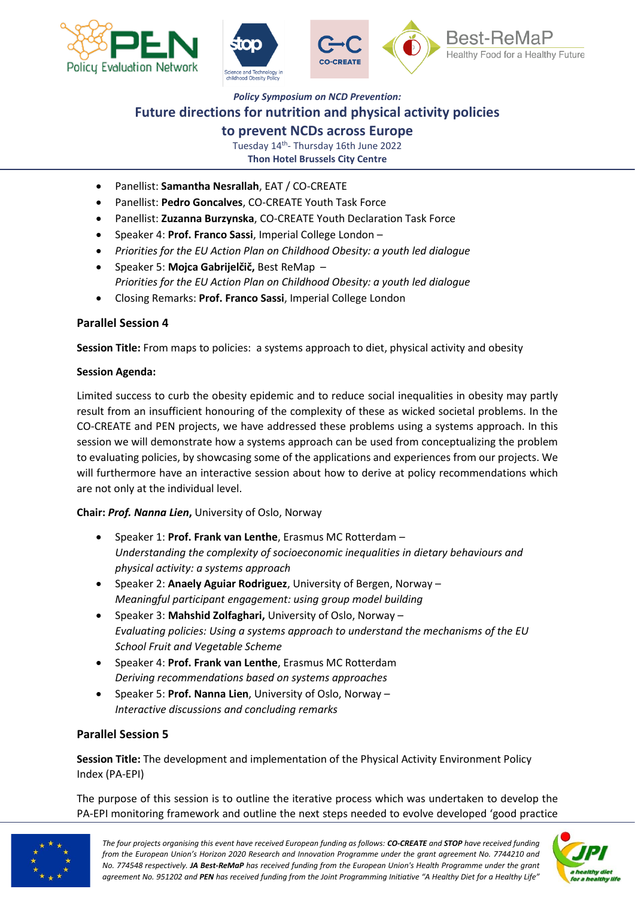



#### **to prevent NCDs across Europe**

Tuesday 14<sup>th</sup>- Thursday 16th June 2022 **Thon Hotel Brussels City Centre**

- Panellist: **Samantha Nesrallah**, EAT / CO-CREATE
- Panellist: **Pedro Goncalves**, CO-CREATE Youth Task Force
- Panellist: **Zuzanna Burzynska**, CO-CREATE Youth Declaration Task Force
- Speaker 4: **Prof. Franco Sassi**, Imperial College London –
- *Priorities for the EU Action Plan on Childhood Obesity: a youth led dialogue*
- Speaker 5: **Mojca Gabrijelčič,** Best ReMap *Priorities for the EU Action Plan on Childhood Obesity: a youth led dialogue*
- Closing Remarks: **Prof. Franco Sassi**, Imperial College London

#### **Parallel Session 4**

**Session Title:** From maps to policies: a systems approach to diet, physical activity and obesity

#### **Session Agenda:**

Limited success to curb the obesity epidemic and to reduce social inequalities in obesity may partly result from an insufficient honouring of the complexity of these as wicked societal problems. In the CO-CREATE and PEN projects, we have addressed these problems using a systems approach. In this session we will demonstrate how a systems approach can be used from conceptualizing the problem to evaluating policies, by showcasing some of the applications and experiences from our projects. We will furthermore have an interactive session about how to derive at policy recommendations which are not only at the individual level.

#### **Chair:** *Prof. Nanna Lien***,** University of Oslo, Norway

- Speaker 1: **Prof. Frank van Lenthe**, Erasmus MC Rotterdam *Understanding the complexity of socioeconomic inequalities in dietary behaviours and physical activity: a systems approach*
- Speaker 2: **Anaely Aguiar Rodriguez**, University of Bergen, Norway *Meaningful participant engagement: using group model building*
- Speaker 3: **Mahshid Zolfaghari,** University of Oslo, Norway *Evaluating policies: Using a systems approach to understand the mechanisms of the EU School Fruit and Vegetable Scheme*
- Speaker 4: **Prof. Frank van Lenthe**, Erasmus MC Rotterdam *Deriving recommendations based on systems approaches*
- Speaker 5: **Prof. Nanna Lien**, University of Oslo, Norway *Interactive discussions and concluding remarks*

#### **Parallel Session 5**

**Session Title:** The development and implementation of the Physical Activity Environment Policy Index (PA-EPI)

The purpose of this session is to outline the iterative process which was undertaken to develop the PA-EPI monitoring framework and outline the next steps needed to evolve developed 'good practice



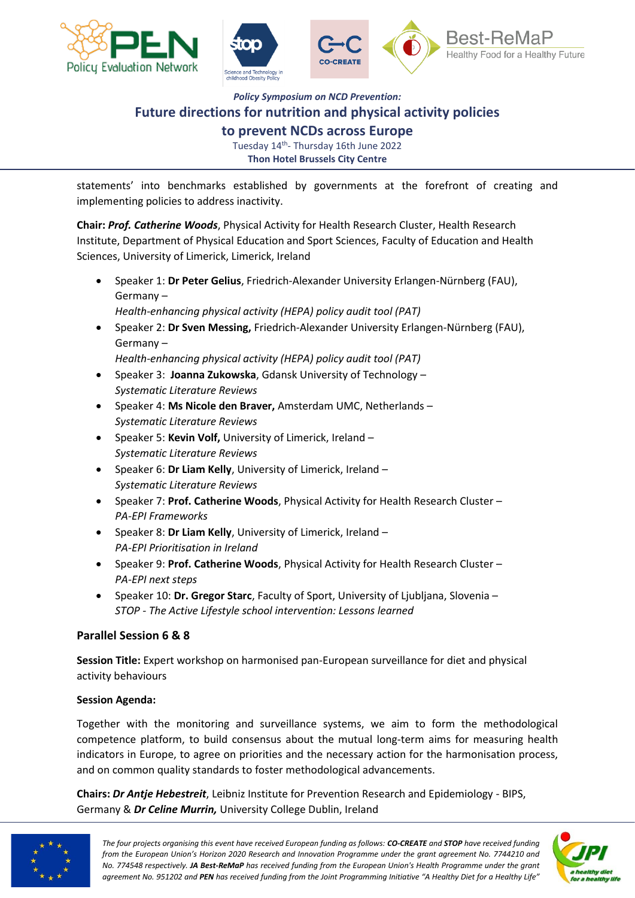



**to prevent NCDs across Europe**

Tuesday 14<sup>th</sup>- Thursday 16th June 2022 **Thon Hotel Brussels City Centre**

statements' into benchmarks established by governments at the forefront of creating and implementing policies to address inactivity.

**Chair:** *Prof. Catherine Woods*, Physical Activity for Health Research Cluster, Health Research Institute, Department of Physical Education and Sport Sciences, Faculty of Education and Health Sciences, University of Limerick, Limerick, Ireland

- Speaker 1: **Dr Peter Gelius**, Friedrich-Alexander University Erlangen-Nürnberg (FAU), Germany – *Health-enhancing physical activity (HEPA) policy audit tool (PAT)*
- Speaker 2: **Dr Sven Messing,** Friedrich-Alexander University Erlangen-Nürnberg (FAU), Germany –

*Health-enhancing physical activity (HEPA) policy audit tool (PAT)*

- Speaker 3: **Joanna Zukowska**, Gdansk University of Technology *Systematic Literature Reviews*
- Speaker 4: **Ms Nicole den Braver,** Amsterdam UMC, Netherlands *Systematic Literature Reviews*
- Speaker 5: **Kevin Volf,** University of Limerick, Ireland *Systematic Literature Reviews*
- Speaker 6: **Dr Liam Kelly**, University of Limerick, Ireland *Systematic Literature Reviews*
- Speaker 7: **Prof. Catherine Woods**, Physical Activity for Health Research Cluster *PA-EPI Frameworks*
- Speaker 8: **Dr Liam Kelly**, University of Limerick, Ireland *PA-EPI Prioritisation in Ireland*
- Speaker 9: **Prof. Catherine Woods**, Physical Activity for Health Research Cluster *PA-EPI next steps*
- Speaker 10: **Dr. Gregor Starc**, Faculty of Sport, University of Ljubljana, Slovenia *STOP - The Active Lifestyle school intervention: Lessons learned*

#### **Parallel Session 6 & 8**

**Session Title:** Expert workshop on harmonised pan-European surveillance for diet and physical activity behaviours

#### **Session Agenda:**

Together with the monitoring and surveillance systems, we aim to form the methodological competence platform, to build consensus about the mutual long-term aims for measuring health indicators in Europe, to agree on priorities and the necessary action for the harmonisation process, and on common quality standards to foster methodological advancements.

**Chairs:** *Dr Antje Hebestreit*, Leibniz Institute for Prevention Research and Epidemiology - BIPS, Germany & *Dr Celine Murrin,* University College Dublin, Ireland



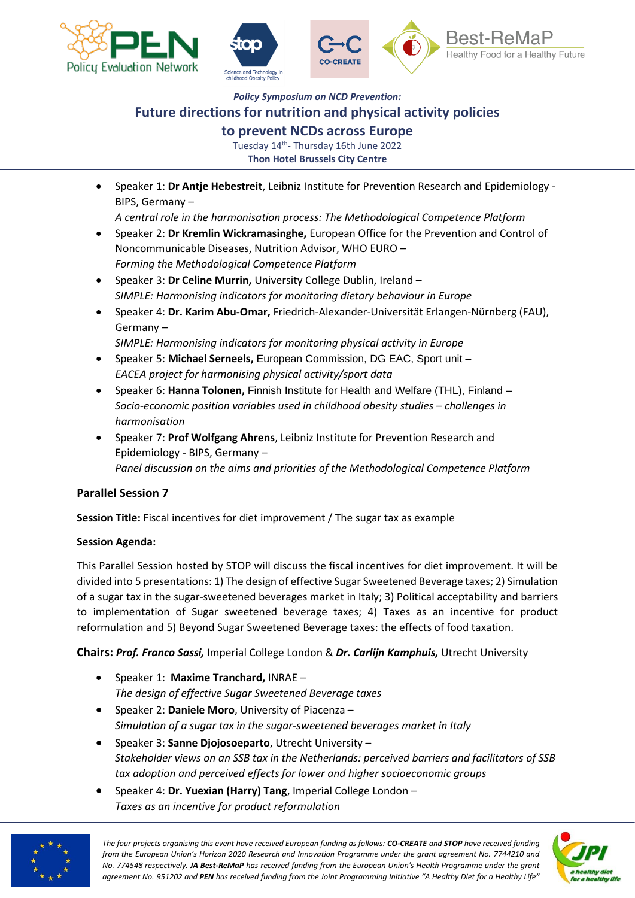





*Policy Symposium on NCD Prevention:*

### **Future directions for nutrition and physical activity policies**

#### **to prevent NCDs across Europe**

Tuesday 14<sup>th</sup>- Thursday 16th June 2022 **Thon Hotel Brussels City Centre**

• Speaker 1: **Dr Antje Hebestreit**, Leibniz Institute for Prevention Research and Epidemiology - BIPS, Germany –

*A central role in the harmonisation process: The Methodological Competence Platform*

- Speaker 2: **Dr Kremlin Wickramasinghe,** European Office for the Prevention and Control of Noncommunicable Diseases, Nutrition Advisor, WHO EURO – *Forming the Methodological Competence Platform*
- Speaker 3: **Dr Celine Murrin,** University College Dublin, Ireland *SIMPLE: Harmonising indicators for monitoring dietary behaviour in Europe*
- Speaker 4: **Dr. Karim Abu-Omar,** Friedrich-Alexander-Universität Erlangen-Nürnberg (FAU), Germany –

*SIMPLE: Harmonising indicators for monitoring physical activity in Europe*

- Speaker 5: **Michael Serneels,** European Commission, DG EAC, Sport unit *EACEA project for harmonising physical activity/sport data*
- Speaker 6: **Hanna Tolonen,** Finnish Institute for Health and Welfare (THL), Finland *Socio-economic position variables used in childhood obesity studies – challenges in harmonisation*
- Speaker 7: **Prof Wolfgang Ahrens**, Leibniz Institute for Prevention Research and Epidemiology - BIPS, Germany – *Panel discussion on the aims and priorities of the Methodological Competence Platform*

#### **Parallel Session 7**

**Session Title:** Fiscal incentives for diet improvement / The sugar tax as example

#### **Session Agenda:**

This Parallel Session hosted by STOP will discuss the fiscal incentives for diet improvement. It will be divided into 5 presentations: 1) The design of effective Sugar Sweetened Beverage taxes; 2) Simulation of a sugar tax in the sugar-sweetened beverages market in Italy; 3) Political acceptability and barriers to implementation of Sugar sweetened beverage taxes; 4) Taxes as an incentive for product reformulation and 5) Beyond Sugar Sweetened Beverage taxes: the effects of food taxation.

**Chairs:** *Prof. Franco Sassi,* Imperial College London & *Dr. Carlijn Kamphuis,* Utrecht University

- Speaker 1: **Maxime Tranchard,** INRAE *The design of effective Sugar Sweetened Beverage taxes*
- Speaker 2: **Daniele Moro**, University of Piacenza *Simulation of a sugar tax in the sugar-sweetened beverages market in Italy*
- Speaker 3: **Sanne Djojosoeparto**, Utrecht University *Stakeholder views on an SSB tax in the Netherlands: perceived barriers and facilitators of SSB tax adoption and perceived effects for lower and higher socioeconomic groups*
- Speaker 4: **Dr. Yuexian (Harry) Tang**, Imperial College London *Taxes as an incentive for product reformulation*



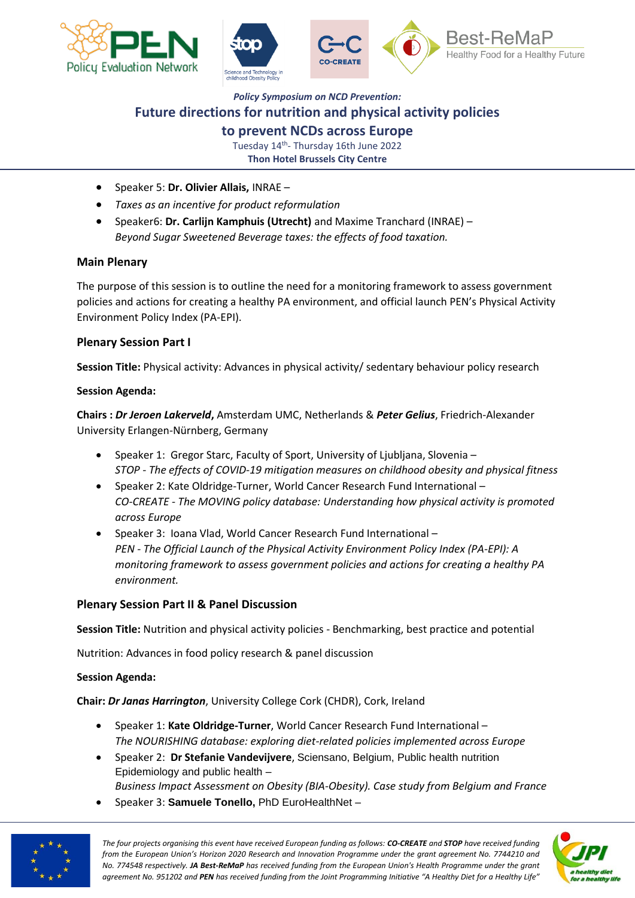



**to prevent NCDs across Europe**

Tuesday 14<sup>th</sup>- Thursday 16th June 2022 **Thon Hotel Brussels City Centre**

- Speaker 5: **Dr. Olivier Allais,** INRAE –
- *Taxes as an incentive for product reformulation*
- Speaker6: **Dr. Carlijn Kamphuis (Utrecht)** and Maxime Tranchard (INRAE) *Beyond Sugar Sweetened Beverage taxes: the effects of food taxation.*

#### **Main Plenary**

The purpose of this session is to outline the need for a monitoring framework to assess government policies and actions for creating a healthy PA environment, and official launch PEN's Physical Activity Environment Policy Index (PA-EPI).

#### **Plenary Session Part I**

**Session Title:** Physical activity: Advances in physical activity/ sedentary behaviour policy research

#### **Session Agenda:**

**Chairs :** *Dr Jeroen Lakerveld***,** Amsterdam UMC, Netherlands & *Peter Gelius*, Friedrich-Alexander University Erlangen-Nürnberg, Germany

- Speaker 1: Gregor Starc, Faculty of Sport, University of Ljubljana, Slovenia *STOP - The effects of COVID-19 mitigation measures on childhood obesity and physical fitness*
- Speaker 2: Kate Oldridge-Turner, World Cancer Research Fund International *CO-CREATE - The MOVING policy database: Understanding how physical activity is promoted across Europe*
- Speaker 3: Ioana Vlad, World Cancer Research Fund International *PEN - The Official Launch of the Physical Activity Environment Policy Index (PA-EPI): A monitoring framework to assess government policies and actions for creating a healthy PA environment.*

#### **Plenary Session Part II & Panel Discussion**

**Session Title:** Nutrition and physical activity policies - Benchmarking, best practice and potential

Nutrition: Advances in food policy research & panel discussion

#### **Session Agenda:**

**Chair:** *Dr Janas Harrington*, University College Cork (CHDR), Cork, Ireland

- Speaker 1: **Kate Oldridge-Turner**, World Cancer Research Fund International *The NOURISHING database: exploring diet-related policies implemented across Europe*
- Speaker 2: **Dr Stefanie Vandevijvere**, Sciensano, Belgium, Public health nutrition Epidemiology and public health –
- *Business Impact Assessment on Obesity (BIA-Obesity). Case study from Belgium and France*
- Speaker 3: **Samuele Tonello,** PhD EuroHealthNet –



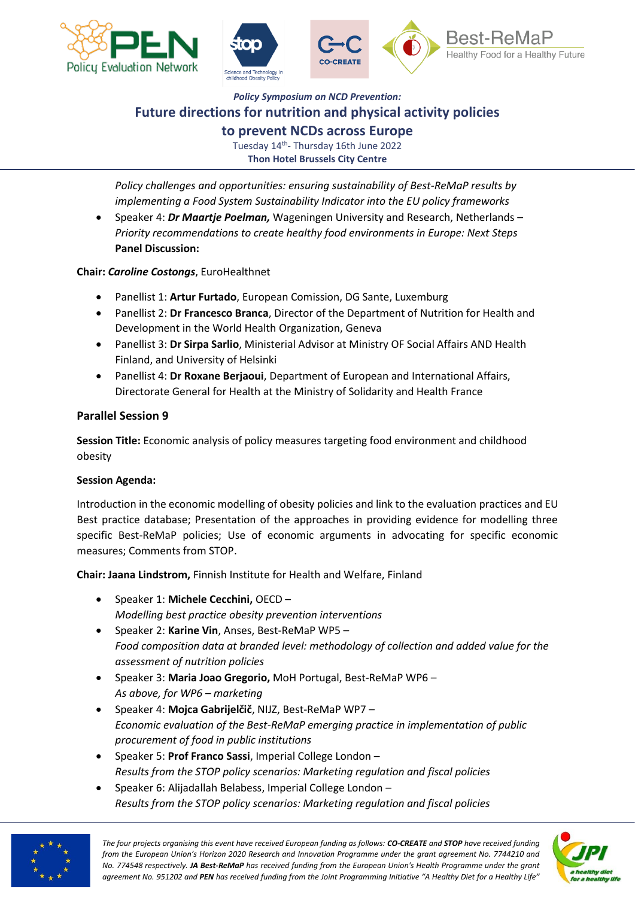



## *Policy Symposium on NCD Prevention:* **Future directions for nutrition and physical activity policies to prevent NCDs across Europe**

Tuesday 14<sup>th</sup>- Thursday 16th June 2022 **Thon Hotel Brussels City Centre**

*Policy challenges and opportunities: ensuring sustainability of Best-ReMaP results by implementing a Food System Sustainability Indicator into the EU policy frameworks*

• Speaker 4: *Dr Maartje Poelman,* Wageningen University and Research, Netherlands – *Priority recommendations to create healthy food environments in Europe: Next Steps* **Panel Discussion:** 

**Chair:** *Caroline Costongs*, EuroHealthnet

- Panellist 1: **Artur Furtado**, European Comission, DG Sante, Luxemburg
- Panellist 2: **Dr Francesco Branca**, Director of the Department of Nutrition for Health and Development in the World Health Organization, Geneva
- Panellist 3: **Dr Sirpa Sarlio**, Ministerial Advisor at Ministry OF Social Affairs AND Health Finland, and University of Helsinki
- Panellist 4: **Dr Roxane Berjaoui**, Department of European and International Affairs, Directorate General for Health at the Ministry of Solidarity and Health France

#### **Parallel Session 9**

**Session Title:** Economic analysis of policy measures targeting food environment and childhood obesity

#### **Session Agenda:**

Introduction in the economic modelling of obesity policies and link to the evaluation practices and EU Best practice database; Presentation of the approaches in providing evidence for modelling three specific Best-ReMaP policies; Use of economic arguments in advocating for specific economic measures; Comments from STOP.

**Chair: Jaana Lindstrom,** Finnish Institute for Health and Welfare, Finland

- Speaker 1: **Michele Cecchini,** OECD *Modelling best practice obesity prevention interventions*
- Speaker 2: **Karine Vin**, Anses, Best-ReMaP WP5 *Food composition data at branded level: methodology of collection and added value for the assessment of nutrition policies*
- Speaker 3: **Maria Joao Gregorio,** MoH Portugal, Best-ReMaP WP6 *As above, for WP6 – marketing*
- Speaker 4: **Mojca Gabrijelčič**, NIJZ, Best-ReMaP WP7 *Economic evaluation of the Best-ReMaP emerging practice in implementation of public procurement of food in public institutions*
- Speaker 5: **Prof Franco Sassi**, Imperial College London *Results from the STOP policy scenarios: Marketing regulation and fiscal policies*
- Speaker 6: Alijadallah Belabess, Imperial College London *Results from the STOP policy scenarios: Marketing regulation and fiscal policies*



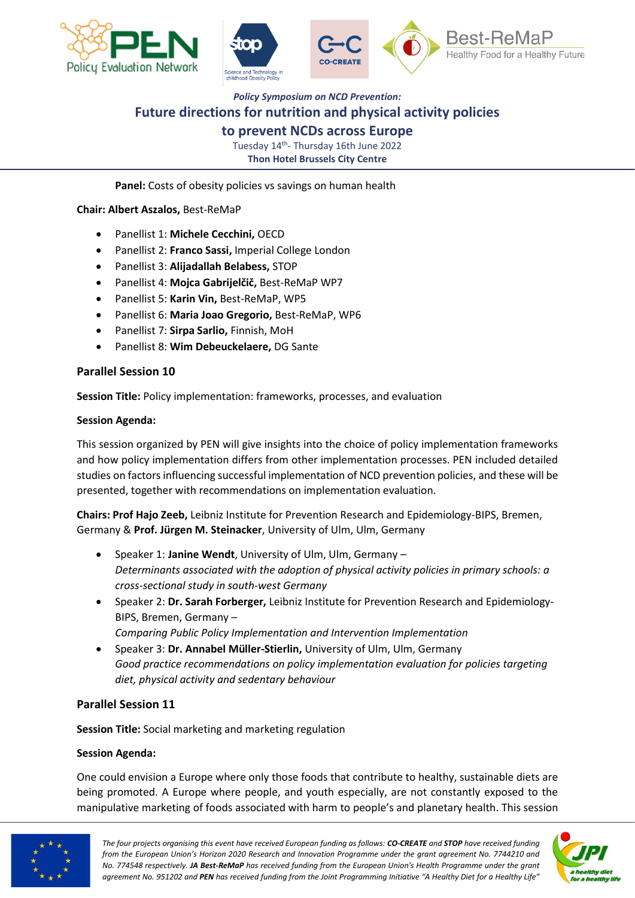





#### **to prevent NCDs across Europe**

Tuesday 14<sup>th</sup>- Thursday 16th June 2022 **Thon Hotel Brussels City Centre**

Panel: Costs of obesity policies vs savings on human health

**Chair: Albert Aszalos,** Best-ReMaP

- Panellist 1: **Michele Cecchini,** OECD
- Panellist 2: **Franco Sassi,** Imperial College London
- Panellist 3: **Alijadallah Belabess,** STOP
- Panellist 4: **Mojca Gabrijelčič,** Best-ReMaP WP7
- Panellist 5: **Karin Vin,** Best-ReMaP, WP5
- Panellist 6: **Maria Joao Gregorio,** Best-ReMaP, WP6
- Panellist 7: **Sirpa Sarlio,** Finnish, MoH
- Panellist 8: **Wim Debeuckelaere,** DG Sante

#### **Parallel Session 10**

**Session Title:** Policy implementation: frameworks, processes, and evaluation

#### **Session Agenda:**

This session organized by PEN will give insights into the choice of policy implementation frameworks and how policy implementation differs from other implementation processes. PEN included detailed studies on factors influencing successful implementation of NCD prevention policies, and these will be presented, together with recommendations on implementation evaluation.

**Chairs: Prof Hajo Zeeb,** Leibniz Institute for Prevention Research and Epidemiology-BIPS, Bremen, Germany & **Prof. Jürgen M. Steinacker**, University of Ulm, Ulm, Germany

- Speaker 1: **Janine Wendt**, University of Ulm, Ulm, Germany *Determinants associated with the adoption of physical activity policies in primary schools: a cross-sectional study in south-west Germany*
- Speaker 2: **Dr. Sarah Forberger,** Leibniz Institute for Prevention Research and Epidemiology-BIPS, Bremen, Germany – *Comparing Public Policy Implementation and Intervention Implementation*
- Speaker 3: **Dr. Annabel Müller-Stierlin,** University of Ulm, Ulm, Germany *Good practice recommendations on policy implementation evaluation for policies targeting diet, physical activity and sedentary behaviour*

#### **Parallel Session 11**

**Session Title:** Social marketing and marketing regulation

#### **Session Agenda:**

One could envision a Europe where only those foods that contribute to healthy, sustainable diets are being promoted. A Europe where people, and youth especially, are not constantly exposed to the manipulative marketing of foods associated with harm to people's and planetary health. This session



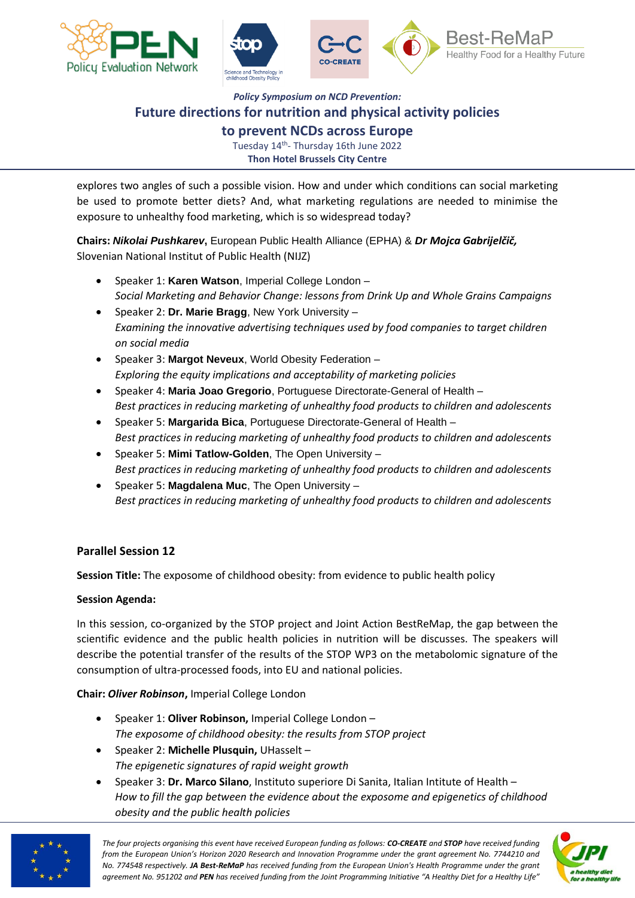



**to prevent NCDs across Europe**

Tuesday 14<sup>th</sup>- Thursday 16th June 2022 **Thon Hotel Brussels City Centre**

explores two angles of such a possible vision. How and under which conditions can social marketing be used to promote better diets? And, what marketing regulations are needed to minimise the exposure to unhealthy food marketing, which is so widespread today?

**Chairs:** *Nikolai Pushkarev***,** European Public Health Alliance (EPHA) & *Dr Mojca Gabrijelčič,* Slovenian National Institut of Public Health (NIJZ)

- Speaker 1: **Karen Watson**, Imperial College London *Social Marketing and Behavior Change: lessons from Drink Up and Whole Grains Campaigns*
- Speaker 2: **Dr. Marie Bragg**, New York University *Examining the innovative advertising techniques used by food companies to target children on social media*
- Speaker 3: **Margot Neveux**, World Obesity Federation *Exploring the equity implications and acceptability of marketing policies*
- Speaker 4: **Maria Joao Gregorio**, Portuguese Directorate-General of Health *Best practices in reducing marketing of unhealthy food products to children and adolescents*
- Speaker 5: **Margarida Bica**, Portuguese Directorate-General of Health *Best practices in reducing marketing of unhealthy food products to children and adolescents*
- Speaker 5: **Mimi Tatlow-Golden**, The Open University *Best practices in reducing marketing of unhealthy food products to children and adolescents*
- Speaker 5: **Magdalena Muc**, The Open University *Best practices in reducing marketing of unhealthy food products to children and adolescents*

#### **Parallel Session 12**

**Session Title:** The exposome of childhood obesity: from evidence to public health policy

#### **Session Agenda:**

In this session, co-organized by the STOP project and Joint Action BestReMap, the gap between the scientific evidence and the public health policies in nutrition will be discusses. The speakers will describe the potential transfer of the results of the STOP WP3 on the metabolomic signature of the consumption of ultra-processed foods, into EU and national policies.

**Chair:** *Oliver Robinson***,** Imperial College London

- Speaker 1: **Oliver Robinson,** Imperial College London *The exposome of childhood obesity: the results from STOP project*
- Speaker 2: **Michelle Plusquin,** UHasselt *The epigenetic signatures of rapid weight growth*
- Speaker 3: **Dr. Marco Silano**, Instituto superiore Di Sanita, Italian Intitute of Health *How to fill the gap between the evidence about the exposome and epigenetics of childhood obesity and the public health policies*



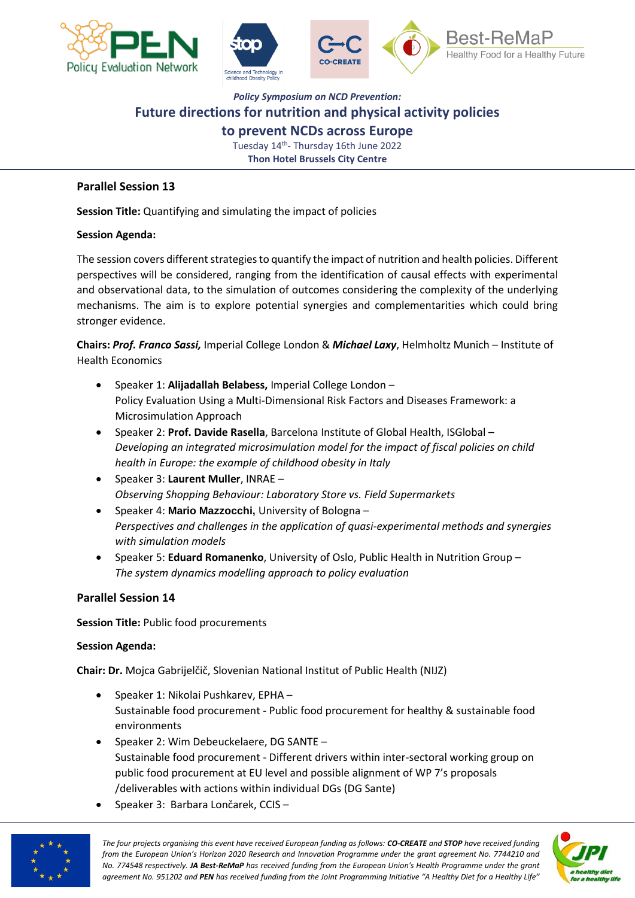



**to prevent NCDs across Europe**

Tuesday 14<sup>th</sup>- Thursday 16th June 2022 **Thon Hotel Brussels City Centre**

#### **Parallel Session 13**

**Session Title:** Quantifying and simulating the impact of policies

#### **Session Agenda:**

The session covers different strategies to quantify the impact of nutrition and health policies. Different perspectives will be considered, ranging from the identification of causal effects with experimental and observational data, to the simulation of outcomes considering the complexity of the underlying mechanisms. The aim is to explore potential synergies and complementarities which could bring stronger evidence.

**Chairs:** *Prof. Franco Sassi,* Imperial College London & *Michael Laxy*, Helmholtz Munich – Institute of Health Economics

- Speaker 1: **Alijadallah Belabess,** Imperial College London Policy Evaluation Using a Multi-Dimensional Risk Factors and Diseases Framework: a Microsimulation Approach
- Speaker 2: **Prof. Davide Rasella**, Barcelona Institute of Global Health, ISGlobal *Developing an integrated microsimulation model for the impact of fiscal policies on child health in Europe: the example of childhood obesity in Italy*
- Speaker 3: **Laurent Muller**, INRAE *Observing Shopping Behaviour: Laboratory Store vs. Field Supermarkets*
- Speaker 4: **Mario Mazzocchi,** University of Bologna *Perspectives and challenges in the application of quasi-experimental methods and synergies with simulation models*
- Speaker 5: **Eduard Romanenko**, University of Oslo, Public Health in Nutrition Group *The system dynamics modelling approach to policy evaluation*

#### **Parallel Session 14**

**Session Title:** Public food procurements

#### **Session Agenda:**

**Chair: Dr.** Mojca Gabrijelčič, Slovenian National Institut of Public Health (NIJZ)

- Speaker 1: Nikolai Pushkarev, EPHA Sustainable food procurement - Public food procurement for healthy & sustainable food environments
- Speaker 2: Wim Debeuckelaere, DG SANTE Sustainable food procurement - Different drivers within inter-sectoral working group on public food procurement at EU level and possible alignment of WP 7's proposals /deliverables with actions within individual DGs (DG Sante)
- Speaker 3: Barbara Lončarek, CCIS –